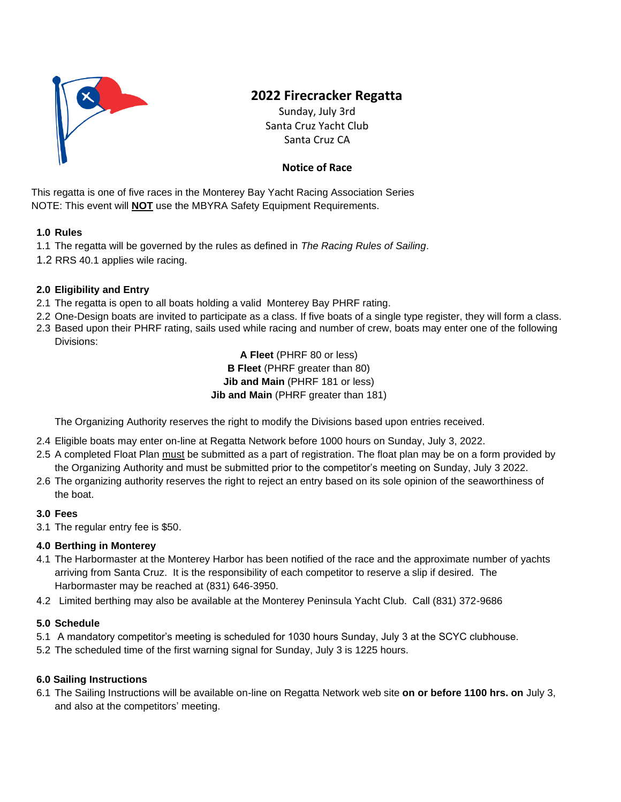

# **2022 Firecracker Regatta**

Sunday, July 3rd Santa Cruz Yacht Club Santa Cruz CA

# **Notice of Race**

This regatta is one of five races in the Monterey Bay Yacht Racing Association Series NOTE: This event will **NOT** use the MBYRA Safety Equipment Requirements.

## **1.0 Rules**

- 1.1 The regatta will be governed by the rules as defined in *The Racing Rules of Sailing*.
- 1.2 RRS 40.1 applies wile racing.

# **2.0 Eligibility and Entry**

- 2.1 The regatta is open to all boats holding a valid Monterey Bay PHRF rating.
- 2.2 One-Design boats are invited to participate as a class. If five boats of a single type register, they will form a class.
- 2.3 Based upon their PHRF rating, sails used while racing and number of crew, boats may enter one of the following Divisions:

**A Fleet** (PHRF 80 or less) **B Fleet** (PHRF greater than 80) **Jib and Main** (PHRF 181 or less) **Jib and Main** (PHRF greater than 181)

The Organizing Authority reserves the right to modify the Divisions based upon entries received.

- 2.4 Eligible boats may enter on-line at Regatta Network before 1000 hours on Sunday, July 3, 2022.
- 2.5 A completed Float Plan must be submitted as a part of registration. The float plan may be on a form provided by the Organizing Authority and must be submitted prior to the competitor's meeting on Sunday, July 3 2022.
- 2.6 The organizing authority reserves the right to reject an entry based on its sole opinion of the seaworthiness of the boat.

#### **3.0 Fees**

3.1 The regular entry fee is \$50.

#### **4.0 Berthing in Monterey**

- 4.1 The Harbormaster at the Monterey Harbor has been notified of the race and the approximate number of yachts arriving from Santa Cruz. It is the responsibility of each competitor to reserve a slip if desired. The Harbormaster may be reached at (831) 646-3950.
- 4.2 Limited berthing may also be available at the Monterey Peninsula Yacht Club. Call (831) 372-9686

#### **5.0 Schedule**

- 5.1 A mandatory competitor's meeting is scheduled for 1030 hours Sunday, July 3 at the SCYC clubhouse.
- 5.2 The scheduled time of the first warning signal for Sunday, July 3 is 1225 hours.

#### **6.0 Sailing Instructions**

6.1 The Sailing Instructions will be available on-line on Regatta Network web site **on or before 1100 hrs. on** July 3, and also at the competitors' meeting.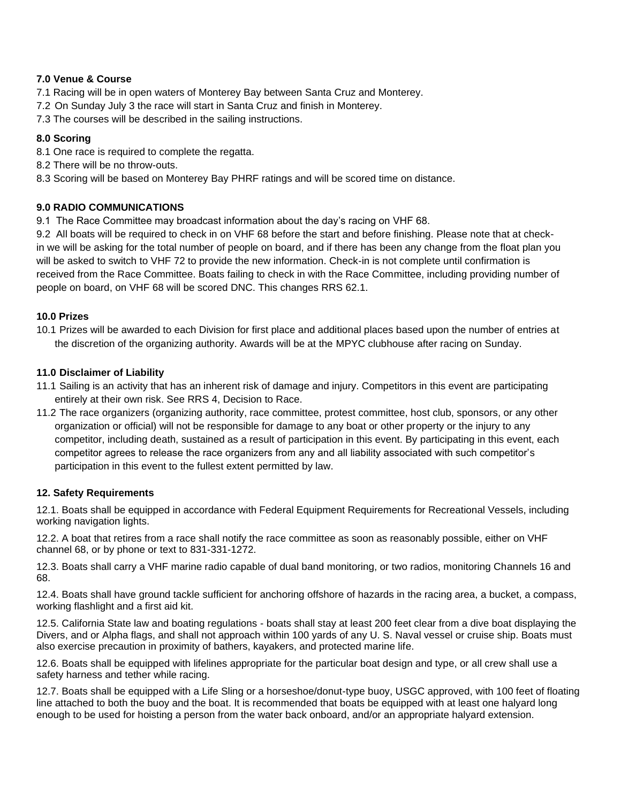#### **7.0 Venue & Course**

- 7.1 Racing will be in open waters of Monterey Bay between Santa Cruz and Monterey.
- 7.2 On Sunday July 3 the race will start in Santa Cruz and finish in Monterey.
- 7.3 The courses will be described in the sailing instructions.

# **8.0 Scoring**

- 8.1 One race is required to complete the regatta.
- 8.2 There will be no throw-outs.
- 8.3 Scoring will be based on Monterey Bay PHRF ratings and will be scored time on distance.

## **9.0 RADIO COMMUNICATIONS**

9.1 The Race Committee may broadcast information about the day's racing on VHF 68.

9.2 All boats will be required to check in on VHF 68 before the start and before finishing. Please note that at checkin we will be asking for the total number of people on board, and if there has been any change from the float plan you will be asked to switch to VHF 72 to provide the new information. Check-in is not complete until confirmation is received from the Race Committee. Boats failing to check in with the Race Committee, including providing number of people on board, on VHF 68 will be scored DNC. This changes RRS 62.1.

## **10.0 Prizes**

10.1 Prizes will be awarded to each Division for first place and additional places based upon the number of entries at the discretion of the organizing authority. Awards will be at the MPYC clubhouse after racing on Sunday.

## **11.0 Disclaimer of Liability**

- 11.1 Sailing is an activity that has an inherent risk of damage and injury. Competitors in this event are participating entirely at their own risk. See RRS 4, Decision to Race.
- 11.2 The race organizers (organizing authority, race committee, protest committee, host club, sponsors, or any other organization or official) will not be responsible for damage to any boat or other property or the injury to any competitor, including death, sustained as a result of participation in this event. By participating in this event, each competitor agrees to release the race organizers from any and all liability associated with such competitor's participation in this event to the fullest extent permitted by law.

#### **12. Safety Requirements**

12.1. Boats shall be equipped in accordance with Federal Equipment Requirements for Recreational Vessels, including working navigation lights.

12.2. A boat that retires from a race shall notify the race committee as soon as reasonably possible, either on VHF channel 68, or by phone or text to 831-331-1272.

12.3. Boats shall carry a VHF marine radio capable of dual band monitoring, or two radios, monitoring Channels 16 and 68.

12.4. Boats shall have ground tackle sufficient for anchoring offshore of hazards in the racing area, a bucket, a compass, working flashlight and a first aid kit.

12.5. California State law and boating regulations - boats shall stay at least 200 feet clear from a dive boat displaying the Divers, and or Alpha flags, and shall not approach within 100 yards of any U. S. Naval vessel or cruise ship. Boats must also exercise precaution in proximity of bathers, kayakers, and protected marine life.

12.6. Boats shall be equipped with lifelines appropriate for the particular boat design and type, or all crew shall use a safety harness and tether while racing.

12.7. Boats shall be equipped with a Life Sling or a horseshoe/donut-type buoy, USGC approved, with 100 feet of floating line attached to both the buoy and the boat. It is recommended that boats be equipped with at least one halyard long enough to be used for hoisting a person from the water back onboard, and/or an appropriate halyard extension.